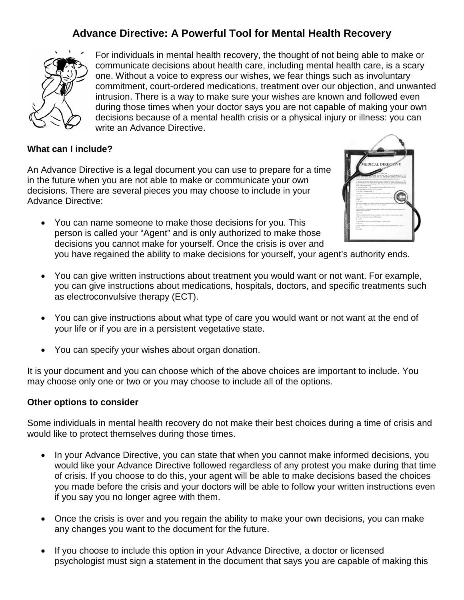## **Advance Directive: A Powerful Tool for Mental Health Recovery**



For individuals in mental health recovery, the thought of not being able to make or communicate decisions about health care, including mental health care, is a scary one. Without a voice to express our wishes, we fear things such as involuntary commitment, court-ordered medications, treatment over our objection, and unwanted intrusion. There is a way to make sure your wishes are known and followed even during those times when your doctor says you are not capable of making your own decisions because of a mental health crisis or a physical injury or illness: you can write an Advance Directive.

#### **What can I include?**

An Advance Directive is a legal document you can use to prepare for a time in the future when you are not able to make or communicate your own decisions. There are several pieces you may choose to include in your Advance Directive:

• You can name someone to make those decisions for you. This person is called your "Agent" and is only authorized to make those decisions you cannot make for yourself. Once the crisis is over and



- you have regained the ability to make decisions for yourself, your agent's authority ends.
- You can give written instructions about treatment you would want or not want. For example, you can give instructions about medications, hospitals, doctors, and specific treatments such as electroconvulsive therapy (ECT).
- You can give instructions about what type of care you would want or not want at the end of your life or if you are in a persistent vegetative state.
- You can specify your wishes about organ donation.

It is your document and you can choose which of the above choices are important to include. You may choose only one or two or you may choose to include all of the options.

#### **Other options to consider**

Some individuals in mental health recovery do not make their best choices during a time of crisis and would like to protect themselves during those times.

- In your Advance Directive, you can state that when you cannot make informed decisions, you would like your Advance Directive followed regardless of any protest you make during that time of crisis. If you choose to do this, your agent will be able to make decisions based the choices you made before the crisis and your doctors will be able to follow your written instructions even if you say you no longer agree with them.
- Once the crisis is over and you regain the ability to make your own decisions, you can make any changes you want to the document for the future.
- If you choose to include this option in your Advance Directive, a doctor or licensed psychologist must sign a statement in the document that says you are capable of making this